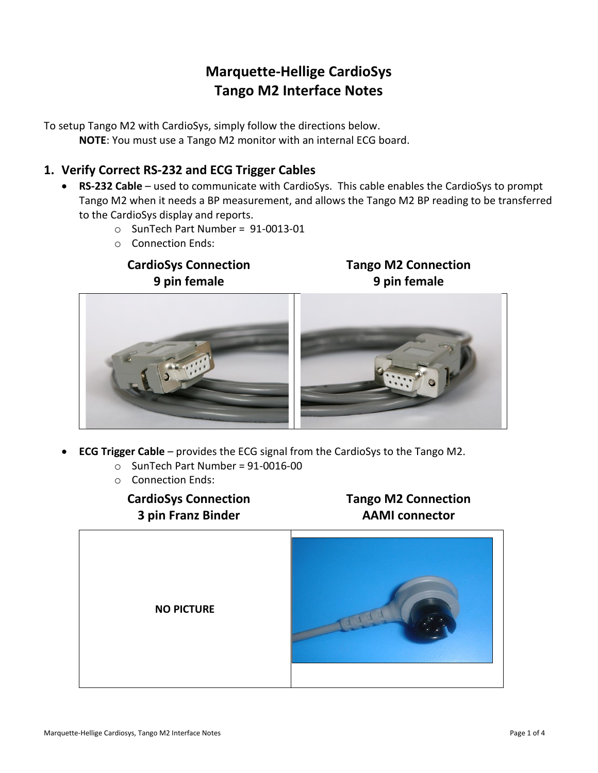# **Marquette-Hellige CardioSys Tango M2 Interface Notes**

To setup Tango M2 with CardioSys, simply follow the directions below. **NOTE**: You must use a Tango M2 monitor with an internal ECG board.

# **1. Verify Correct RS-232 and ECG Trigger Cables**

- **RS-232 Cable** used to communicate with CardioSys. This cable enables the CardioSys to prompt Tango M2 when it needs a BP measurement, and allows the Tango M2 BP reading to be transferred to the CardioSys display and reports.
	- o SunTech Part Number = 91-0013-01
	- o Connection Ends:

# **CardioSys Connection 9 pin female**

## **Tango M2 Connection 9 pin female**



- **ECG Trigger Cable** provides the ECG signal from the CardioSys to the Tango M2.
	- $\circ$  SunTech Part Number = 91-0016-00
	- o Connection Ends:

**CardioSys Connection 3 pin Franz Binder** 

# **Tango M2 Connection AAMI connector**

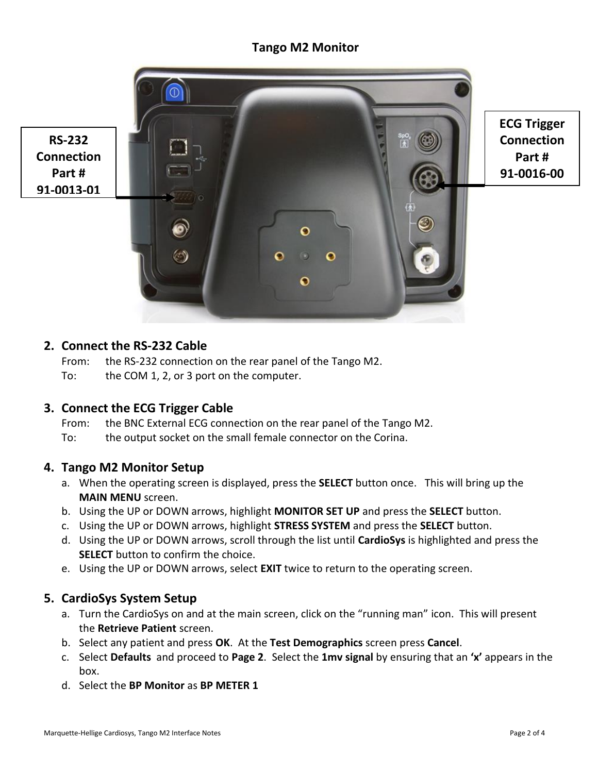# **Tango M2 Monitor**

**Connection Part # 91-0013-01**



**ECG Trigger Connection Part # 91-0016-00**

#### **2. Connect the RS-232 Cable**

From: the RS-232 connection on the rear panel of the Tango M2.

To: the COM 1, 2, or 3 port on the computer.

### **3. Connect the ECG Trigger Cable**

- From: the BNC External ECG connection on the rear panel of the Tango M2.
- To: the output socket on the small female connector on the Corina.

#### **4. Tango M2 Monitor Setup**

- a. When the operating screen is displayed, press the **SELECT** button once. This will bring up the **MAIN MENU** screen.
- b. Using the UP or DOWN arrows, highlight **MONITOR SET UP** and press the **SELECT** button.
- c. Using the UP or DOWN arrows, highlight **STRESS SYSTEM** and press the **SELECT** button.
- d. Using the UP or DOWN arrows, scroll through the list until **CardioSys** is highlighted and press the **SELECT** button to confirm the choice.
- e. Using the UP or DOWN arrows, select **EXIT** twice to return to the operating screen.

### **5. CardioSys System Setup**

- a. Turn the CardioSys on and at the main screen, click on the "running man" icon. This will present the **Retrieve Patient** screen.
- b. Select any patient and press **OK**. At the **Test Demographics** screen press **Cancel**.
- c. Select **Defaults** and proceed to **Page 2**. Select the **1mv signal** by ensuring that an **'x'** appears in the box.
- d. Select the **BP Monitor** as **BP METER 1**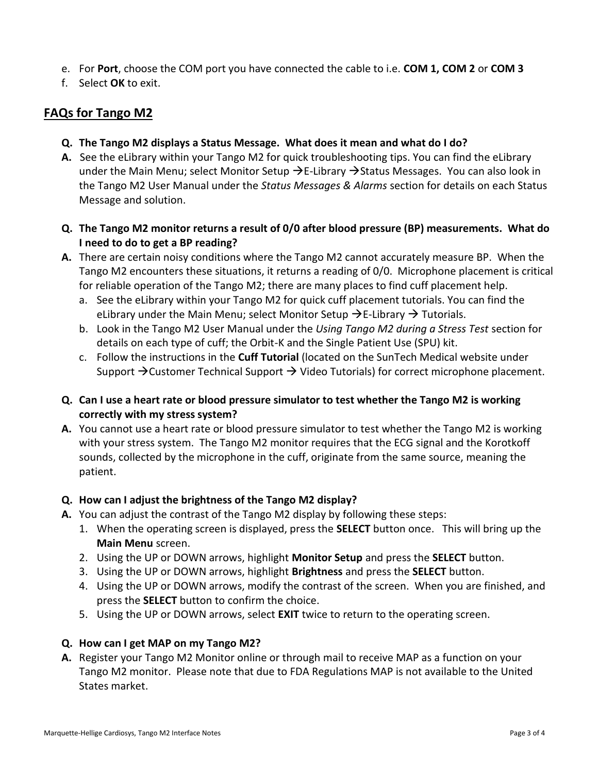- e. For **Port**, choose the COM port you have connected the cable to i.e. **COM 1, COM 2** or **COM 3**
- f. Select **OK** to exit.

# **FAQs for Tango M2**

- **Q. The Tango M2 displays a Status Message. What does it mean and what do I do?**
- **A.** See the eLibrary within your Tango M2 for quick troubleshooting tips. You can find the eLibrary under the Main Menu; select Monitor Setup  $\rightarrow$  E-Library  $\rightarrow$  Status Messages. You can also look in the Tango M2 User Manual under the *Status Messages & Alarms* section for details on each Status Message and solution.
- **Q. The Tango M2 monitor returns a result of 0/0 after blood pressure (BP) measurements. What do I need to do to get a BP reading?**
- **A.** There are certain noisy conditions where the Tango M2 cannot accurately measure BP. When the Tango M2 encounters these situations, it returns a reading of 0/0. Microphone placement is critical for reliable operation of the Tango M2; there are many places to find cuff placement help.
	- a. See the eLibrary within your Tango M2 for quick cuff placement tutorials. You can find the eLibrary under the Main Menu; select Monitor Setup  $\rightarrow$  E-Library  $\rightarrow$  Tutorials.
	- b. Look in the Tango M2 User Manual under the *Using Tango M2 during a Stress Test* section for details on each type of cuff; the Orbit-K and the Single Patient Use (SPU) kit.
	- c. Follow the instructions in the **Cuff Tutorial** (located on the SunTech Medical website under Support  $\rightarrow$  Customer Technical Support  $\rightarrow$  Video Tutorials) for correct microphone placement.
- **Q. Can I use a heart rate or blood pressure simulator to test whether the Tango M2 is working correctly with my stress system?**
- **A.** You cannot use a heart rate or blood pressure simulator to test whether the Tango M2 is working with your stress system. The Tango M2 monitor requires that the ECG signal and the Korotkoff sounds, collected by the microphone in the cuff, originate from the same source, meaning the patient.

### **Q. How can I adjust the brightness of the Tango M2 display?**

- **A.** You can adjust the contrast of the Tango M2 display by following these steps:
	- 1. When the operating screen is displayed, press the **SELECT** button once. This will bring up the **Main Menu** screen.
	- 2. Using the UP or DOWN arrows, highlight **Monitor Setup** and press the **SELECT** button.
	- 3. Using the UP or DOWN arrows, highlight **Brightness** and press the **SELECT** button.
	- 4. Using the UP or DOWN arrows, modify the contrast of the screen. When you are finished, and press the **SELECT** button to confirm the choice.
	- 5. Using the UP or DOWN arrows, select **EXIT** twice to return to the operating screen.

### **Q. How can I get MAP on my Tango M2?**

**A.** Register your Tango M2 Monitor online or through mail to receive MAP as a function on your Tango M2 monitor. Please note that due to FDA Regulations MAP is not available to the United States market.